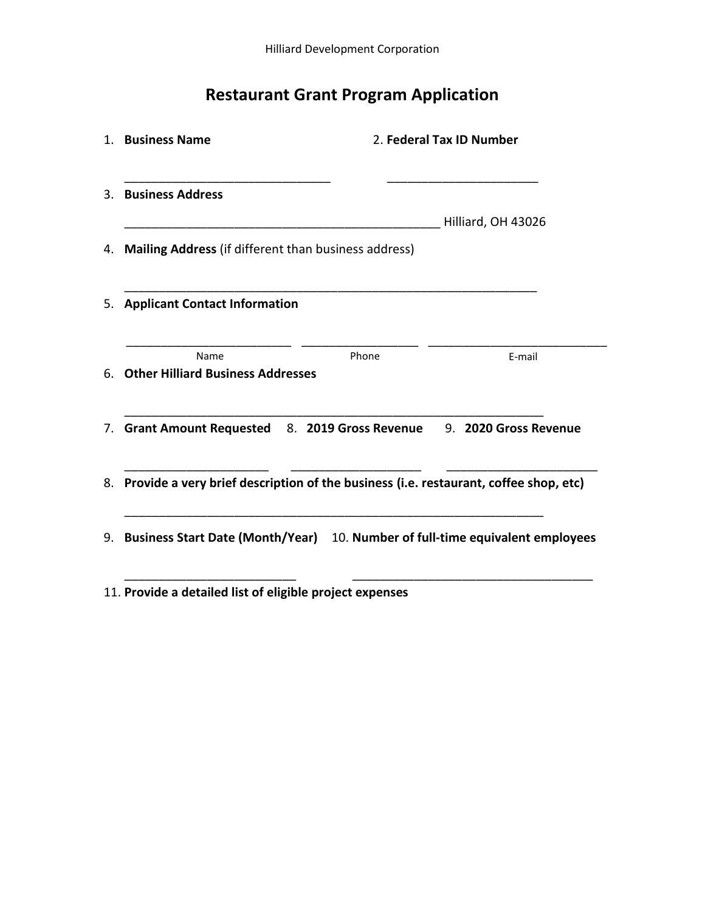## **Restaurant Grant Program Application**

| 2. Federal Tax ID Number<br>1. Business Name            |                                                                                         |                    |
|---------------------------------------------------------|-----------------------------------------------------------------------------------------|--------------------|
| 3. Business Address                                     |                                                                                         |                    |
|                                                         |                                                                                         | Hilliard, OH 43026 |
| 4. Mailing Address (if different than business address) |                                                                                         |                    |
|                                                         |                                                                                         |                    |
| 5. Applicant Contact Information                        |                                                                                         |                    |
| Name                                                    | Phone                                                                                   | E-mail             |
| 6. Other Hilliard Business Addresses                    |                                                                                         |                    |
|                                                         | 7. Grant Amount Requested 8. 2019 Gross Revenue 9. 2020 Gross Revenue                   |                    |
|                                                         | 8. Provide a very brief description of the business (i.e. restaurant, coffee shop, etc) |                    |
|                                                         |                                                                                         |                    |

11. **Provide a detailed list of eligible project expenses**